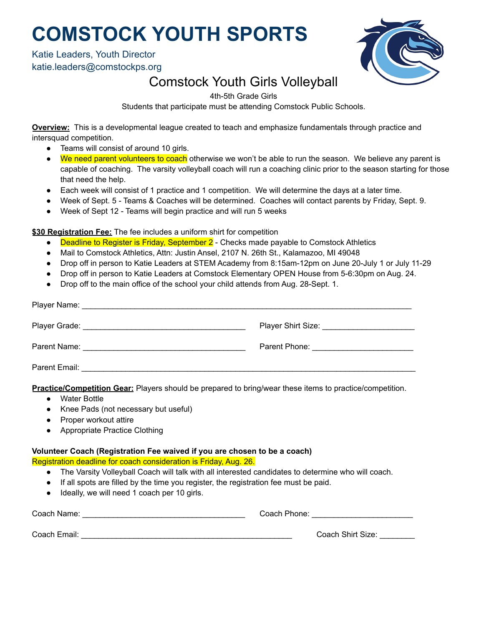# **COMSTOCK YOUTH SPORTS**

### Katie Leaders, Youth Director katie.leaders@comstockps.org



## Comstock Youth Girls Volleyball

4th-5th Grade Girls

Students that participate must be attending Comstock Public Schools.

**Overview:** This is a developmental league created to teach and emphasize fundamentals through practice and intersquad competition.

- Teams will consist of around 10 girls.
- We need parent volunteers to coach otherwise we won't be able to run the season. We believe any parent is capable of coaching. The varsity volleyball coach will run a coaching clinic prior to the season starting for those that need the help.
- Each week will consist of 1 practice and 1 competition. We will determine the days at a later time.
- Week of Sept. 5 Teams & Coaches will be determined. Coaches will contact parents by Friday, Sept. 9.
- Week of Sept 12 Teams will begin practice and will run 5 weeks

#### **\$30 Registration Fee:** The fee includes a uniform shirt for competition

- **Deadline to Register is Friday, September 2** Checks made payable to Comstock Athletics
- Mail to Comstock Athletics, Attn: Justin Ansel, 2107 N. 26th St., Kalamazoo, MI 49048
- Drop off in person to Katie Leaders at STEM Academy from 8:15am-12pm on June 20-July 1 or July 11-29
- Drop off in person to Katie Leaders at Comstock Elementary OPEN House from 5-6:30pm on Aug. 24.
- Drop off to the main office of the school your child attends from Aug. 28-Sept. 1.

| Parent Name:  | Parent Phone: The Contract of the Contract of the Contract of the Contract of the Contract of the Contract of the Contract of the Contract of the Contract of the Contract of the Contract of the Contract of the Contract of |
|---------------|-------------------------------------------------------------------------------------------------------------------------------------------------------------------------------------------------------------------------------|
| Parent Email: |                                                                                                                                                                                                                               |

**Practice/Competition Gear:** Players should be prepared to bring/wear these items to practice/competition.

- Water Bottle
- Knee Pads (not necessary but useful)
- Proper workout attire
- Appropriate Practice Clothing

#### **Volunteer Coach (Registration Fee waived if you are chosen to be a coach)**

Registration deadline for coach consideration is Friday, Aug. 26.

- The Varsity Volleyball Coach will talk with all interested candidates to determine who will coach.
- If all spots are filled by the time you register, the registration fee must be paid.
- Ideally, we will need 1 coach per 10 girls.

| Coach Name:  | Coach Phone:      |  |
|--------------|-------------------|--|
| Coach Email: | Coach Shirt Size: |  |